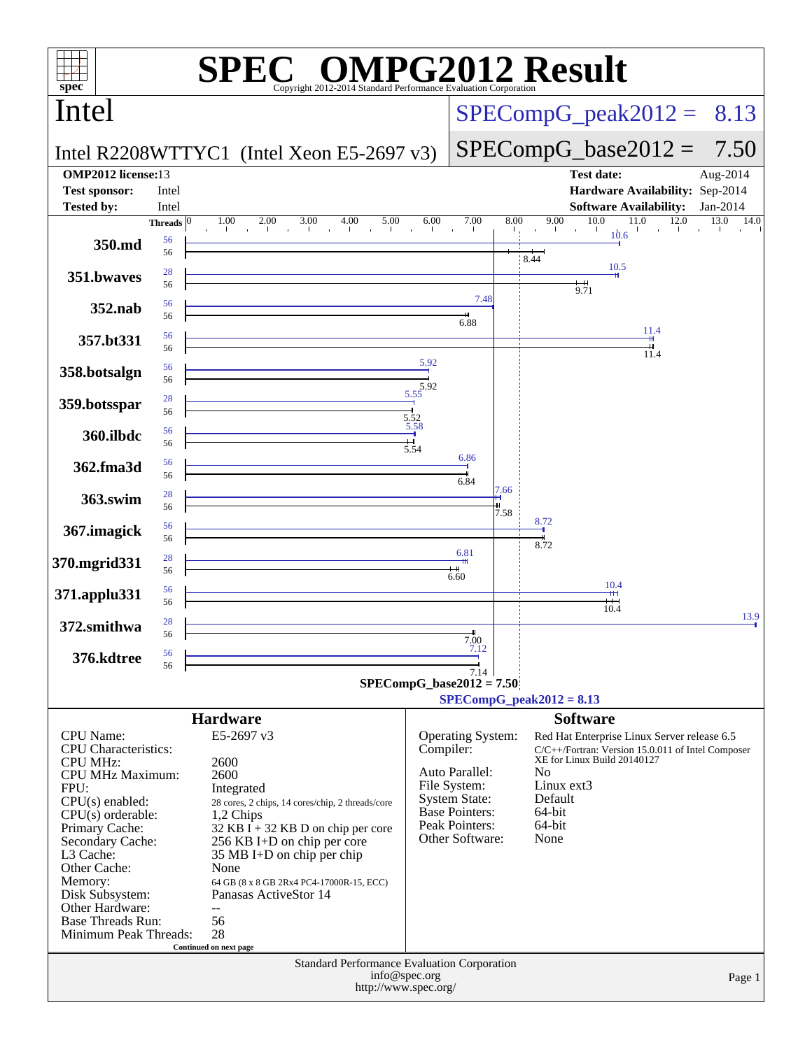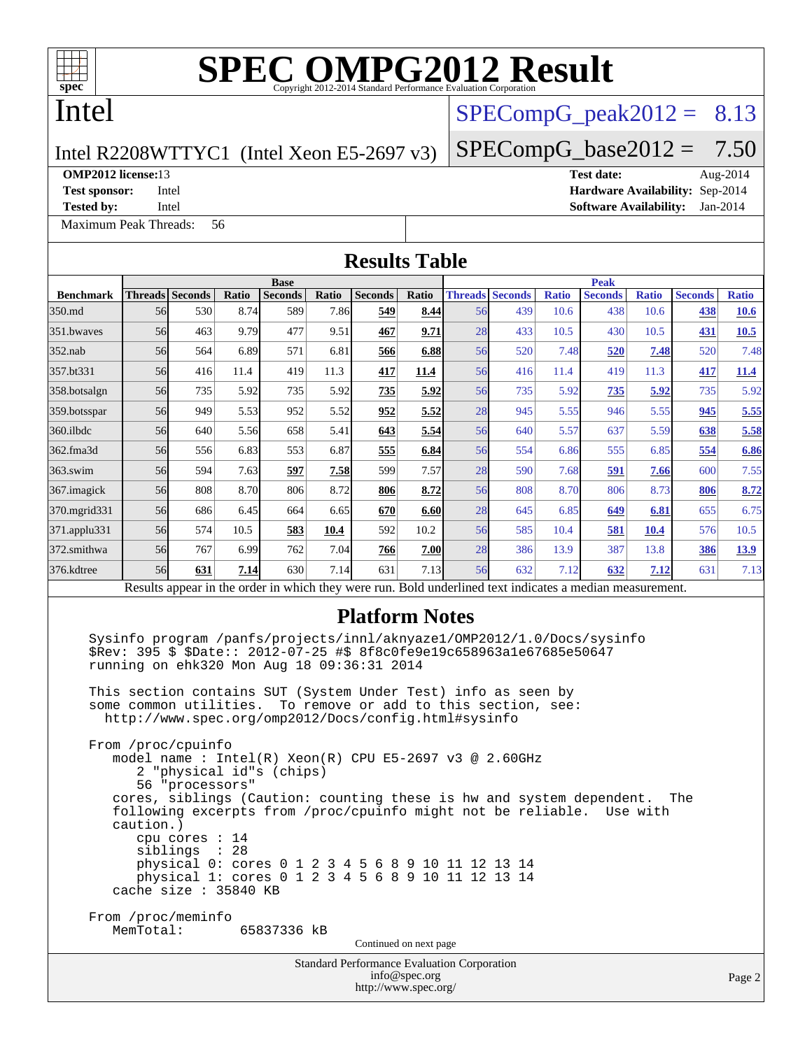

# **[SPEC OMPG2012 Result](http://www.spec.org/auto/omp2012/Docs/result-fields.html#SPECOMPG2012Result)**

## Intel

### $SPECompG_peak2012 = 8.13$  $SPECompG_peak2012 = 8.13$

 $SPECompG_base2012 = 7.50$  $SPECompG_base2012 = 7.50$ 

### Intel R2208WTTYC1 (Intel Xeon E5-2697 v3)

### **[OMP2012 license:](http://www.spec.org/auto/omp2012/Docs/result-fields.html#OMP2012license)**13 **[Test date:](http://www.spec.org/auto/omp2012/Docs/result-fields.html#Testdate)** Aug-2014

**[Test sponsor:](http://www.spec.org/auto/omp2012/Docs/result-fields.html#Testsponsor)** Intel **[Hardware Availability:](http://www.spec.org/auto/omp2012/Docs/result-fields.html#HardwareAvailability)** Sep-2014

[Maximum Peak Threads:](http://www.spec.org/auto/omp2012/Docs/result-fields.html#MaximumPeakThreads) 56

**[Tested by:](http://www.spec.org/auto/omp2012/Docs/result-fields.html#Testedby)** Intel **[Software Availability:](http://www.spec.org/auto/omp2012/Docs/result-fields.html#SoftwareAvailability)** Jan-2014

|                            |           |                                                                            |               |                                                                                                                                                                                                                                                                                                                                                                                                                                                                                                                                                                                      |               | <b>Results Table</b>                        |               |    |                               |                      |                                                                                                                                                |                      |                       |                             |
|----------------------------|-----------|----------------------------------------------------------------------------|---------------|--------------------------------------------------------------------------------------------------------------------------------------------------------------------------------------------------------------------------------------------------------------------------------------------------------------------------------------------------------------------------------------------------------------------------------------------------------------------------------------------------------------------------------------------------------------------------------------|---------------|---------------------------------------------|---------------|----|-------------------------------|----------------------|------------------------------------------------------------------------------------------------------------------------------------------------|----------------------|-----------------------|-----------------------------|
|                            |           |                                                                            |               | <b>Base</b>                                                                                                                                                                                                                                                                                                                                                                                                                                                                                                                                                                          |               |                                             |               |    |                               |                      | <b>Peak</b>                                                                                                                                    |                      |                       |                             |
| <b>Benchmark</b><br>350.md | 56        | Threads Seconds<br>530                                                     | Ratio<br>8.74 | <b>Seconds</b><br>589                                                                                                                                                                                                                                                                                                                                                                                                                                                                                                                                                                | Ratio<br>7.86 | Seconds<br>549                              | Ratio<br>8.44 | 56 | <b>Threads Seconds</b><br>439 | <b>Ratio</b><br>10.6 | <b>Seconds</b><br>438                                                                                                                          | <b>Ratio</b><br>10.6 | <b>Seconds</b><br>438 | <b>Ratio</b><br><b>10.6</b> |
| 351.bwaves                 | 56        | 463                                                                        | 9.79          | 477                                                                                                                                                                                                                                                                                                                                                                                                                                                                                                                                                                                  | 9.51          | 467                                         | 9.71          | 28 | 433                           | 10.5                 | 430                                                                                                                                            | 10.5                 | 431                   | 10.5                        |
| $352$ .nab                 | 56        | 564                                                                        | 6.89          | 571                                                                                                                                                                                                                                                                                                                                                                                                                                                                                                                                                                                  | 6.81          | 566                                         | 6.88          | 56 | 520                           | 7.48                 | 520                                                                                                                                            | 7.48                 | 520                   | 7.48                        |
| 357.bt331                  | 56        | 416                                                                        | 11.4          | 419                                                                                                                                                                                                                                                                                                                                                                                                                                                                                                                                                                                  | 11.3          | 417                                         | 11.4          | 56 | 416                           | 11.4                 | 419                                                                                                                                            | 11.3                 | 417                   | <b>11.4</b>                 |
| 358.botsalgn               | 56        | 735                                                                        | 5.92          | 735                                                                                                                                                                                                                                                                                                                                                                                                                                                                                                                                                                                  | 5.92          | 735                                         | 5.92          | 56 | 735                           | 5.92                 | 735                                                                                                                                            | 5.92                 | 735                   | 5.92                        |
| 359.botsspar               | 56        | 949                                                                        | 5.53          | 952                                                                                                                                                                                                                                                                                                                                                                                                                                                                                                                                                                                  | 5.52          | 952                                         | 5.52          | 28 | 945                           | 5.55                 | 946                                                                                                                                            | 5.55                 | 945                   | 5.55                        |
| 360.ilbdc                  | 56        | 640                                                                        | 5.56          | 658                                                                                                                                                                                                                                                                                                                                                                                                                                                                                                                                                                                  | 5.41          | 643                                         | 5.54          | 56 | 640                           | 5.57                 | 637                                                                                                                                            | 5.59                 | 638                   | 5.58                        |
| $362$ .fma $3d$            | 56        | 556                                                                        | 6.83          | 553                                                                                                                                                                                                                                                                                                                                                                                                                                                                                                                                                                                  | 6.87          | 555                                         | 6.84          | 56 | 554                           | 6.86                 | 555                                                                                                                                            | 6.85                 | 554                   | 6.86                        |
| 363.swim                   | 56        | 594                                                                        | 7.63          | 597                                                                                                                                                                                                                                                                                                                                                                                                                                                                                                                                                                                  | 7.58          | 599                                         | 7.57          | 28 | 590                           | 7.68                 | 591                                                                                                                                            | 7.66                 | 600                   | 7.55                        |
| 367. imagick               | 56        | 808                                                                        | 8.70          | 806                                                                                                                                                                                                                                                                                                                                                                                                                                                                                                                                                                                  | 8.72          | 806                                         | 8.72          | 56 | 808                           | 8.70                 | 806                                                                                                                                            | 8.73                 | 806                   | 8.72                        |
| 370.mgrid331               | 56        | 686                                                                        | 6.45          | 664                                                                                                                                                                                                                                                                                                                                                                                                                                                                                                                                                                                  | 6.65          | 670                                         | 6.60          | 28 | 645                           | 6.85                 | 649                                                                                                                                            | 6.81                 | 655                   | 6.75                        |
| $371$ .applu $331$         | 56        | 574                                                                        | 10.5          | 583                                                                                                                                                                                                                                                                                                                                                                                                                                                                                                                                                                                  | 10.4          | 592                                         | 10.2          | 56 | 585                           | 10.4                 | 581                                                                                                                                            | <b>10.4</b>          | 576                   | 10.5                        |
| 372.smithwa                | 56        | 767                                                                        | 6.99          | 762                                                                                                                                                                                                                                                                                                                                                                                                                                                                                                                                                                                  | 7.04          | 766                                         | 7.00          | 28 | 386                           | 13.9                 | 387                                                                                                                                            | 13.8                 | 386                   | <b>13.9</b>                 |
| 376.kdtree                 | 56        | 631                                                                        | 7.14          | 630                                                                                                                                                                                                                                                                                                                                                                                                                                                                                                                                                                                  | 7.14          | 631                                         | 7.13          | 56 | 632                           | 7.12                 | 632                                                                                                                                            | 7.12                 | 631                   | 7.13                        |
|                            |           |                                                                            |               |                                                                                                                                                                                                                                                                                                                                                                                                                                                                                                                                                                                      |               |                                             |               |    |                               |                      | Results appear in the order in which they were run. Bold underlined text indicates a median measurement.                                       |                      |                       |                             |
|                            | caution.) | From /proc/cpuinfo<br>56 "processors"<br>cpu cores $: 14$<br>siblings : 28 |               | \$Rev: 395 \$ \$Date:: 2012-07-25 #\$ 8f8c0fe9e19c658963a1e67685e50647<br>running on ehk320 Mon Aug 18 09:36:31 2014<br>This section contains SUT (System Under Test) info as seen by<br>some common utilities. To remove or add to this section, see:<br>http://www.spec.org/omp2012/Docs/config.html#sysinfo<br>model name: $Intel(R)$ Xeon $(R)$ CPU E5-2697 v3 @ 2.60GHz<br>2 "physical id"s (chips)<br>following excerpts from /proc/cpuinfo might not be reliable.<br>physical 0: cores 0 1 2 3 4 5 6 8 9 10 11 12 13 14<br>physical 1: cores 0 1 2 3 4 5 6 8 9 10 11 12 13 14 |               |                                             |               |    |                               |                      | Sysinfo program /panfs/projects/innl/aknyaze1/OMP2012/1.0/Docs/sysinfo<br>cores, siblings (Caution: counting these is hw and system dependent. | Use with             | The                   |                             |
|                            |           | cache size : 35840 KB                                                      |               |                                                                                                                                                                                                                                                                                                                                                                                                                                                                                                                                                                                      |               |                                             |               |    |                               |                      |                                                                                                                                                |                      |                       |                             |
|                            | MemTotal: | From /proc/meminfo                                                         |               | 65837336 kB                                                                                                                                                                                                                                                                                                                                                                                                                                                                                                                                                                          |               |                                             |               |    |                               |                      |                                                                                                                                                |                      |                       |                             |
|                            |           |                                                                            |               |                                                                                                                                                                                                                                                                                                                                                                                                                                                                                                                                                                                      |               | Continued on next page                      |               |    |                               |                      |                                                                                                                                                |                      |                       |                             |
|                            |           |                                                                            |               |                                                                                                                                                                                                                                                                                                                                                                                                                                                                                                                                                                                      |               | Standard Performance Evaluation Corporation |               |    |                               |                      |                                                                                                                                                |                      |                       |                             |

### [info@spec.org](mailto:info@spec.org) <http://www.spec.org/>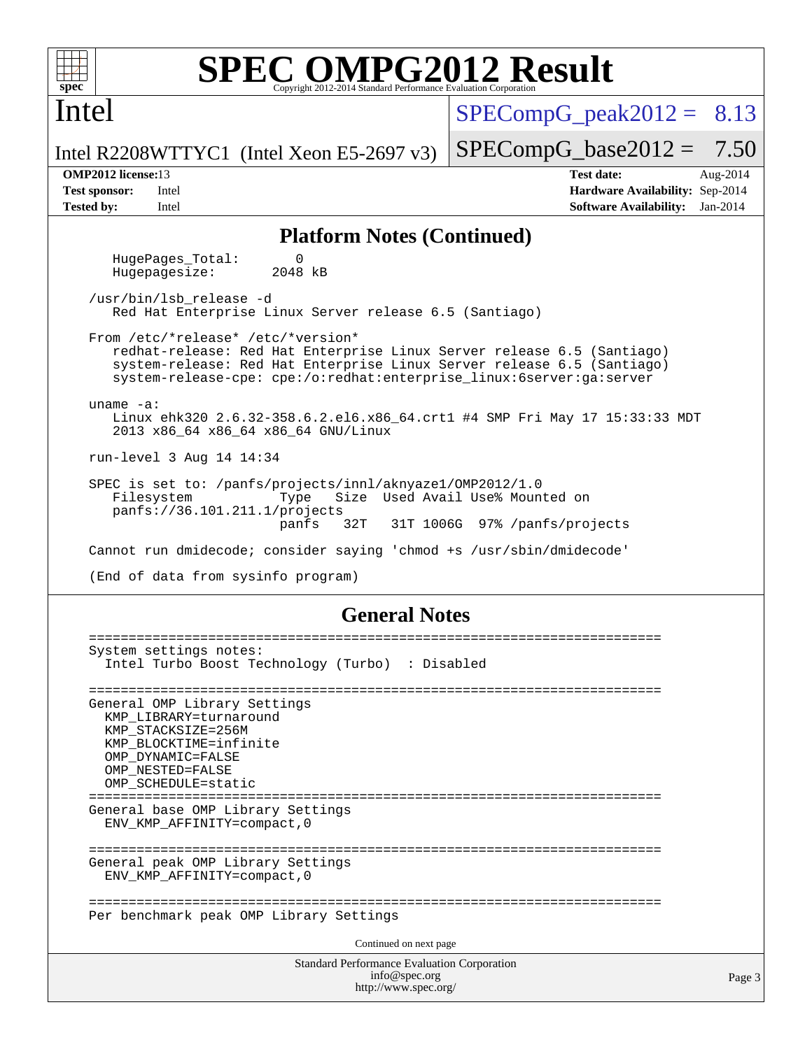

Intel

# **[SPEC OMPG2012 Result](http://www.spec.org/auto/omp2012/Docs/result-fields.html#SPECOMPG2012Result)**

 $SPECompG<sub>peak2012</sub> = 8.13$ 

 $SPECompG_base2012 = 7.50$  $SPECompG_base2012 = 7.50$ 

Intel R2208WTTYC1 (Intel Xeon E5-2697 v3)

**[OMP2012 license:](http://www.spec.org/auto/omp2012/Docs/result-fields.html#OMP2012license)**13 **[Test date:](http://www.spec.org/auto/omp2012/Docs/result-fields.html#Testdate)** Aug-2014 **[Test sponsor:](http://www.spec.org/auto/omp2012/Docs/result-fields.html#Testsponsor)** Intel **[Hardware Availability:](http://www.spec.org/auto/omp2012/Docs/result-fields.html#HardwareAvailability)** Sep-2014 **[Tested by:](http://www.spec.org/auto/omp2012/Docs/result-fields.html#Testedby)** Intel **[Software Availability:](http://www.spec.org/auto/omp2012/Docs/result-fields.html#SoftwareAvailability)** Jan-2014

Page 3

### **[Platform Notes \(Continued\)](http://www.spec.org/auto/omp2012/Docs/result-fields.html#PlatformNotes)**

HugePages\_Total: 0<br>Hugepagesize: 2048 kB Hugepagesize:

 /usr/bin/lsb\_release -d Red Hat Enterprise Linux Server release 6.5 (Santiago)

 From /etc/\*release\* /etc/\*version\* redhat-release: Red Hat Enterprise Linux Server release 6.5 (Santiago) system-release: Red Hat Enterprise Linux Server release 6.5 (Santiago) system-release-cpe: cpe:/o:redhat:enterprise\_linux:6server:ga:server

 uname -a: Linux ehk320 2.6.32-358.6.2.el6.x86 64.crt1 #4 SMP Fri May 17 15:33:33 MDT 2013 x86\_64 x86\_64 x86\_64 GNU/Linux

run-level 3 Aug 14 14:34

 SPEC is set to: /panfs/projects/innl/aknyaze1/OMP2012/1.0 Filesystem Type Size Used Avail Use% Mounted on panfs://36.101.211.1/projects panfs 32T 31T 1006G 97% /panfs/projects

Cannot run dmidecode; consider saying 'chmod +s /usr/sbin/dmidecode'

(End of data from sysinfo program)

### **[General Notes](http://www.spec.org/auto/omp2012/Docs/result-fields.html#GeneralNotes)**

```
Standard Performance Evaluation Corporation
                                     info@spec.org
                                   http://www.spec.org/
========================================================================
System settings notes:
  Intel Turbo Boost Technology (Turbo) : Disabled
========================================================================
General OMP Library Settings
  KMP_LIBRARY=turnaround
  KMP_STACKSIZE=256M
  KMP_BLOCKTIME=infinite
  OMP_DYNAMIC=FALSE
  OMP_NESTED=FALSE
  OMP_SCHEDULE=static
========================================================================
General base OMP Library Settings
  ENV_KMP_AFFINITY=compact,0
========================================================================
General peak OMP Library Settings
  ENV_KMP_AFFINITY=compact,0
========================================================================
Per benchmark peak OMP Library Settings
                                   Continued on next page
```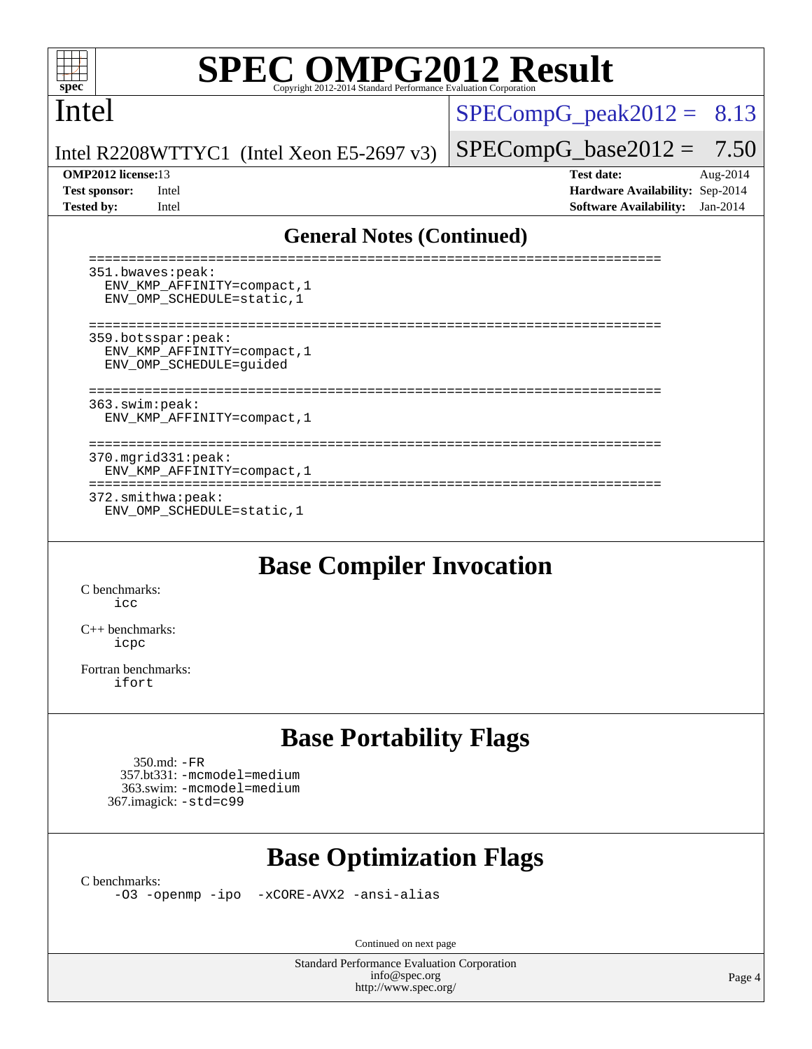

# **[SPEC OMPG2012 Result](http://www.spec.org/auto/omp2012/Docs/result-fields.html#SPECOMPG2012Result)**

### Intel

 $SPECompG_peak2012 = 8.13$  $SPECompG_peak2012 = 8.13$ 

Intel R2208WTTYC1 (Intel Xeon E5-2697 v3)

**[Tested by:](http://www.spec.org/auto/omp2012/Docs/result-fields.html#Testedby)** Intel **[Software Availability:](http://www.spec.org/auto/omp2012/Docs/result-fields.html#SoftwareAvailability)** Jan-2014

 $SPECompG_base2012 = 7.50$  $SPECompG_base2012 = 7.50$ **[OMP2012 license:](http://www.spec.org/auto/omp2012/Docs/result-fields.html#OMP2012license)**13 **[Test date:](http://www.spec.org/auto/omp2012/Docs/result-fields.html#Testdate)** Aug-2014 **[Test sponsor:](http://www.spec.org/auto/omp2012/Docs/result-fields.html#Testsponsor)** Intel **[Hardware Availability:](http://www.spec.org/auto/omp2012/Docs/result-fields.html#HardwareAvailability)** Sep-2014

### **[General Notes \(Continued\)](http://www.spec.org/auto/omp2012/Docs/result-fields.html#GeneralNotes)**

| 351.bwaves: peak:<br>ENV KMP AFFINITY=compact, 1<br>ENV OMP SCHEDULE=static, 1 |  |
|--------------------------------------------------------------------------------|--|
| 359.botsspar: peak:<br>ENV KMP AFFINITY=compact, 1<br>ENV OMP SCHEDULE=quided  |  |
| 363.swim:peak:<br>ENV KMP AFFINITY=compact, 1                                  |  |
| $370.\text{mgrid}331:\text{peak}:$<br>ENV KMP AFFINITY=compact, 1              |  |
| 372.smithwa:peak:<br>ENV OMP SCHEDULE=static, 1                                |  |

### **[Base Compiler Invocation](http://www.spec.org/auto/omp2012/Docs/result-fields.html#BaseCompilerInvocation)**

[C benchmarks](http://www.spec.org/auto/omp2012/Docs/result-fields.html#Cbenchmarks): [icc](http://www.spec.org/omp2012/results/res2014q3/omp2012-20140819-00057.flags.html#user_CCbase_intel_icc_a87c68a857bc5ec5362391a49d3a37a6)

[C++ benchmarks:](http://www.spec.org/auto/omp2012/Docs/result-fields.html#CXXbenchmarks) [icpc](http://www.spec.org/omp2012/results/res2014q3/omp2012-20140819-00057.flags.html#user_CXXbase_intel_icpc_2d899f8d163502b12eb4a60069f80c1c)

[Fortran benchmarks](http://www.spec.org/auto/omp2012/Docs/result-fields.html#Fortranbenchmarks): [ifort](http://www.spec.org/omp2012/results/res2014q3/omp2012-20140819-00057.flags.html#user_FCbase_intel_ifort_8a5e5e06b19a251bdeaf8fdab5d62f20)

## **[Base Portability Flags](http://www.spec.org/auto/omp2012/Docs/result-fields.html#BasePortabilityFlags)**

```
 350.md: -FR
 357.bt331: -mcmodel=medium
  363.swim: -mcmodel=medium
367.imagick: -std=c99
```
## **[Base Optimization Flags](http://www.spec.org/auto/omp2012/Docs/result-fields.html#BaseOptimizationFlags)**

[C benchmarks](http://www.spec.org/auto/omp2012/Docs/result-fields.html#Cbenchmarks):

[-O3](http://www.spec.org/omp2012/results/res2014q3/omp2012-20140819-00057.flags.html#user_CCbase_f-O3) [-openmp](http://www.spec.org/omp2012/results/res2014q3/omp2012-20140819-00057.flags.html#user_CCbase_f-openmp) [-ipo](http://www.spec.org/omp2012/results/res2014q3/omp2012-20140819-00057.flags.html#user_CCbase_f-ipo_84062ab53814f613187d02344b8f49a7) [-xCORE-AVX2](http://www.spec.org/omp2012/results/res2014q3/omp2012-20140819-00057.flags.html#user_CCbase_f-xCORE-AVX2) [-ansi-alias](http://www.spec.org/omp2012/results/res2014q3/omp2012-20140819-00057.flags.html#user_CCbase_f-ansi-alias)

Continued on next page

Standard Performance Evaluation Corporation [info@spec.org](mailto:info@spec.org) <http://www.spec.org/>

Page 4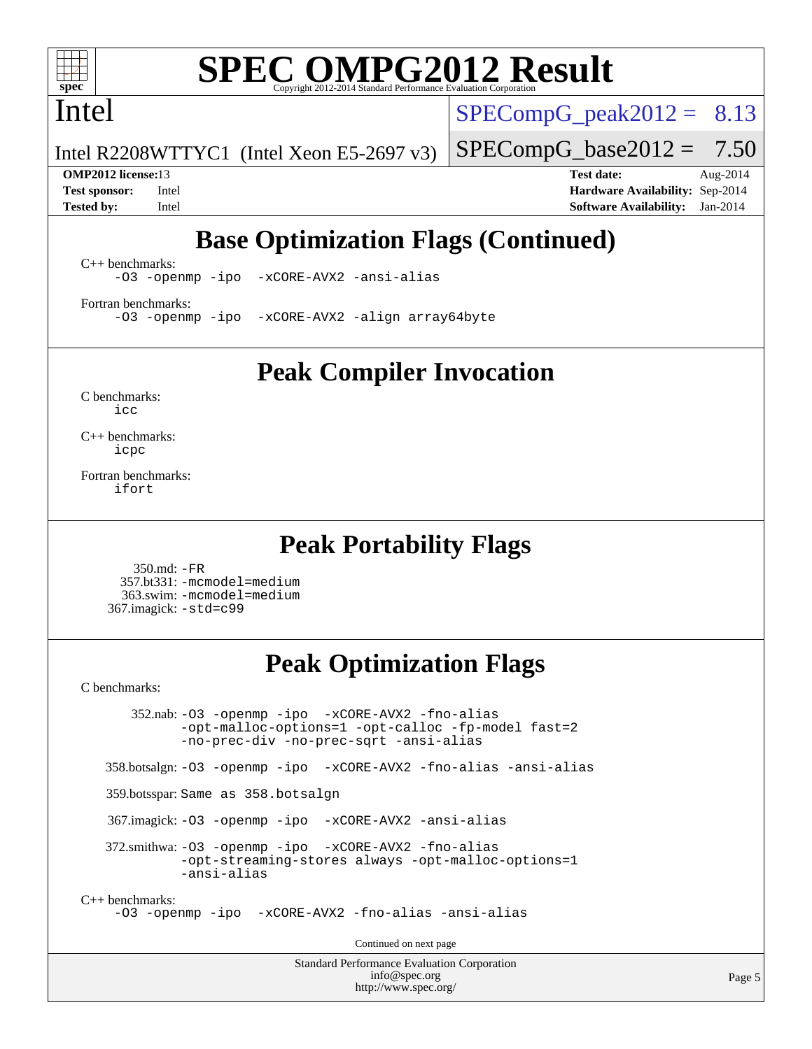

# **[SPEC OMPG2012 Result](http://www.spec.org/auto/omp2012/Docs/result-fields.html#SPECOMPG2012Result)**

Intel

 $SPECompG_peak2012 = 8.13$  $SPECompG_peak2012 = 8.13$ 

 $SPECompG_base2012 = 7.50$  $SPECompG_base2012 = 7.50$ 

Intel R2208WTTYC1 (Intel Xeon E5-2697 v3)

**[OMP2012 license:](http://www.spec.org/auto/omp2012/Docs/result-fields.html#OMP2012license)**13 **[Test date:](http://www.spec.org/auto/omp2012/Docs/result-fields.html#Testdate)** Aug-2014 **[Test sponsor:](http://www.spec.org/auto/omp2012/Docs/result-fields.html#Testsponsor)** Intel **[Hardware Availability:](http://www.spec.org/auto/omp2012/Docs/result-fields.html#HardwareAvailability)** Sep-2014 **[Tested by:](http://www.spec.org/auto/omp2012/Docs/result-fields.html#Testedby)** Intel **[Software Availability:](http://www.spec.org/auto/omp2012/Docs/result-fields.html#SoftwareAvailability)** Jan-2014

## **[Base Optimization Flags \(Continued\)](http://www.spec.org/auto/omp2012/Docs/result-fields.html#BaseOptimizationFlags)**

[C++ benchmarks:](http://www.spec.org/auto/omp2012/Docs/result-fields.html#CXXbenchmarks)

[-O3](http://www.spec.org/omp2012/results/res2014q3/omp2012-20140819-00057.flags.html#user_CXXbase_f-O3) [-openmp](http://www.spec.org/omp2012/results/res2014q3/omp2012-20140819-00057.flags.html#user_CXXbase_f-openmp) [-ipo](http://www.spec.org/omp2012/results/res2014q3/omp2012-20140819-00057.flags.html#user_CXXbase_f-ipo_84062ab53814f613187d02344b8f49a7) [-xCORE-AVX2](http://www.spec.org/omp2012/results/res2014q3/omp2012-20140819-00057.flags.html#user_CXXbase_f-xCORE-AVX2) [-ansi-alias](http://www.spec.org/omp2012/results/res2014q3/omp2012-20140819-00057.flags.html#user_CXXbase_f-ansi-alias)

[Fortran benchmarks](http://www.spec.org/auto/omp2012/Docs/result-fields.html#Fortranbenchmarks): [-O3](http://www.spec.org/omp2012/results/res2014q3/omp2012-20140819-00057.flags.html#user_FCbase_f-O3) [-openmp](http://www.spec.org/omp2012/results/res2014q3/omp2012-20140819-00057.flags.html#user_FCbase_f-openmp) [-ipo](http://www.spec.org/omp2012/results/res2014q3/omp2012-20140819-00057.flags.html#user_FCbase_f-ipo_84062ab53814f613187d02344b8f49a7) [-xCORE-AVX2](http://www.spec.org/omp2012/results/res2014q3/omp2012-20140819-00057.flags.html#user_FCbase_f-xCORE-AVX2) [-align array64byte](http://www.spec.org/omp2012/results/res2014q3/omp2012-20140819-00057.flags.html#user_FCbase_f-align_c9377f996e966d652baaf753401d4725)

**[Peak Compiler Invocation](http://www.spec.org/auto/omp2012/Docs/result-fields.html#PeakCompilerInvocation)**

[C benchmarks](http://www.spec.org/auto/omp2012/Docs/result-fields.html#Cbenchmarks): [icc](http://www.spec.org/omp2012/results/res2014q3/omp2012-20140819-00057.flags.html#user_CCpeak_intel_icc_a87c68a857bc5ec5362391a49d3a37a6)

[C++ benchmarks:](http://www.spec.org/auto/omp2012/Docs/result-fields.html#CXXbenchmarks) [icpc](http://www.spec.org/omp2012/results/res2014q3/omp2012-20140819-00057.flags.html#user_CXXpeak_intel_icpc_2d899f8d163502b12eb4a60069f80c1c)

[Fortran benchmarks](http://www.spec.org/auto/omp2012/Docs/result-fields.html#Fortranbenchmarks): [ifort](http://www.spec.org/omp2012/results/res2014q3/omp2012-20140819-00057.flags.html#user_FCpeak_intel_ifort_8a5e5e06b19a251bdeaf8fdab5d62f20)

### **[Peak Portability Flags](http://www.spec.org/auto/omp2012/Docs/result-fields.html#PeakPortabilityFlags)**

 350.md: [-FR](http://www.spec.org/omp2012/results/res2014q3/omp2012-20140819-00057.flags.html#user_peakFPORTABILITY350_md_f-FR) 357.bt331: [-mcmodel=medium](http://www.spec.org/omp2012/results/res2014q3/omp2012-20140819-00057.flags.html#user_peakPORTABILITY357_bt331_f-mcmodel_3a41622424bdd074c4f0f2d2f224c7e5) 363.swim: [-mcmodel=medium](http://www.spec.org/omp2012/results/res2014q3/omp2012-20140819-00057.flags.html#user_peakPORTABILITY363_swim_f-mcmodel_3a41622424bdd074c4f0f2d2f224c7e5) 367.imagick: [-std=c99](http://www.spec.org/omp2012/results/res2014q3/omp2012-20140819-00057.flags.html#user_peakCPORTABILITY367_imagick_f-std_2ec6533b6e06f1c4a6c9b78d9e9cde24)

## **[Peak Optimization Flags](http://www.spec.org/auto/omp2012/Docs/result-fields.html#PeakOptimizationFlags)**

[C benchmarks](http://www.spec.org/auto/omp2012/Docs/result-fields.html#Cbenchmarks):

 352.nab: [-O3](http://www.spec.org/omp2012/results/res2014q3/omp2012-20140819-00057.flags.html#user_peakOPTIMIZE352_nab_f-O3) [-openmp](http://www.spec.org/omp2012/results/res2014q3/omp2012-20140819-00057.flags.html#user_peakOPTIMIZE352_nab_f-openmp) [-ipo](http://www.spec.org/omp2012/results/res2014q3/omp2012-20140819-00057.flags.html#user_peakOPTIMIZE352_nab_f-ipo_84062ab53814f613187d02344b8f49a7) [-xCORE-AVX2](http://www.spec.org/omp2012/results/res2014q3/omp2012-20140819-00057.flags.html#user_peakOPTIMIZE352_nab_f-xCORE-AVX2) [-fno-alias](http://www.spec.org/omp2012/results/res2014q3/omp2012-20140819-00057.flags.html#user_peakOPTIMIZE352_nab_f-no-alias_694e77f6c5a51e658e82ccff53a9e63a) [-opt-malloc-options=1](http://www.spec.org/omp2012/results/res2014q3/omp2012-20140819-00057.flags.html#user_peakOPTIMIZE352_nab_f-opt-malloc-options_d882ffc6ff87e51efe45f9a5190004b0) [-opt-calloc](http://www.spec.org/omp2012/results/res2014q3/omp2012-20140819-00057.flags.html#user_peakOPTIMIZE352_nab_f-opt-calloc) [-fp-model fast=2](http://www.spec.org/omp2012/results/res2014q3/omp2012-20140819-00057.flags.html#user_peakOPTIMIZE352_nab_f-fp-model_a7fb8ccb7275e23f0079632c153cfcab) [-no-prec-div](http://www.spec.org/omp2012/results/res2014q3/omp2012-20140819-00057.flags.html#user_peakOPTIMIZE352_nab_f-no-prec-div) [-no-prec-sqrt](http://www.spec.org/omp2012/results/res2014q3/omp2012-20140819-00057.flags.html#user_peakOPTIMIZE352_nab_f-no-prec-sqrt) [-ansi-alias](http://www.spec.org/omp2012/results/res2014q3/omp2012-20140819-00057.flags.html#user_peakCOPTIMIZE352_nab_f-ansi-alias) 358.botsalgn: [-O3](http://www.spec.org/omp2012/results/res2014q3/omp2012-20140819-00057.flags.html#user_peakOPTIMIZE358_botsalgn_f-O3) [-openmp](http://www.spec.org/omp2012/results/res2014q3/omp2012-20140819-00057.flags.html#user_peakOPTIMIZE358_botsalgn_f-openmp) [-ipo](http://www.spec.org/omp2012/results/res2014q3/omp2012-20140819-00057.flags.html#user_peakOPTIMIZE358_botsalgn_f-ipo_84062ab53814f613187d02344b8f49a7) [-xCORE-AVX2](http://www.spec.org/omp2012/results/res2014q3/omp2012-20140819-00057.flags.html#user_peakOPTIMIZE358_botsalgn_f-xCORE-AVX2) [-fno-alias](http://www.spec.org/omp2012/results/res2014q3/omp2012-20140819-00057.flags.html#user_peakOPTIMIZE358_botsalgn_f-no-alias_694e77f6c5a51e658e82ccff53a9e63a) [-ansi-alias](http://www.spec.org/omp2012/results/res2014q3/omp2012-20140819-00057.flags.html#user_peakCOPTIMIZE358_botsalgn_f-ansi-alias) 359.botsspar: Same as 358.botsalgn 367.imagick: [-O3](http://www.spec.org/omp2012/results/res2014q3/omp2012-20140819-00057.flags.html#user_peakOPTIMIZE367_imagick_f-O3) [-openmp](http://www.spec.org/omp2012/results/res2014q3/omp2012-20140819-00057.flags.html#user_peakOPTIMIZE367_imagick_f-openmp) [-ipo](http://www.spec.org/omp2012/results/res2014q3/omp2012-20140819-00057.flags.html#user_peakOPTIMIZE367_imagick_f-ipo_84062ab53814f613187d02344b8f49a7) [-xCORE-AVX2](http://www.spec.org/omp2012/results/res2014q3/omp2012-20140819-00057.flags.html#user_peakOPTIMIZE367_imagick_f-xCORE-AVX2) [-ansi-alias](http://www.spec.org/omp2012/results/res2014q3/omp2012-20140819-00057.flags.html#user_peakCOPTIMIZE367_imagick_f-ansi-alias) 372.smithwa: [-O3](http://www.spec.org/omp2012/results/res2014q3/omp2012-20140819-00057.flags.html#user_peakOPTIMIZE372_smithwa_f-O3) [-openmp](http://www.spec.org/omp2012/results/res2014q3/omp2012-20140819-00057.flags.html#user_peakOPTIMIZE372_smithwa_f-openmp) [-ipo](http://www.spec.org/omp2012/results/res2014q3/omp2012-20140819-00057.flags.html#user_peakOPTIMIZE372_smithwa_f-ipo_84062ab53814f613187d02344b8f49a7) [-xCORE-AVX2](http://www.spec.org/omp2012/results/res2014q3/omp2012-20140819-00057.flags.html#user_peakOPTIMIZE372_smithwa_f-xCORE-AVX2) [-fno-alias](http://www.spec.org/omp2012/results/res2014q3/omp2012-20140819-00057.flags.html#user_peakOPTIMIZE372_smithwa_f-no-alias_694e77f6c5a51e658e82ccff53a9e63a) [-opt-streaming-stores always](http://www.spec.org/omp2012/results/res2014q3/omp2012-20140819-00057.flags.html#user_peakOPTIMIZE372_smithwa_f-opt-streaming-stores-always_66f55dbc532842151ebc4c82f4f5b019) [-opt-malloc-options=1](http://www.spec.org/omp2012/results/res2014q3/omp2012-20140819-00057.flags.html#user_peakOPTIMIZE372_smithwa_f-opt-malloc-options_d882ffc6ff87e51efe45f9a5190004b0) [-ansi-alias](http://www.spec.org/omp2012/results/res2014q3/omp2012-20140819-00057.flags.html#user_peakCOPTIMIZE372_smithwa_f-ansi-alias) [C++ benchmarks:](http://www.spec.org/auto/omp2012/Docs/result-fields.html#CXXbenchmarks) [-O3](http://www.spec.org/omp2012/results/res2014q3/omp2012-20140819-00057.flags.html#user_CXXpeak_f-O3) [-openmp](http://www.spec.org/omp2012/results/res2014q3/omp2012-20140819-00057.flags.html#user_CXXpeak_f-openmp) [-ipo](http://www.spec.org/omp2012/results/res2014q3/omp2012-20140819-00057.flags.html#user_CXXpeak_f-ipo_84062ab53814f613187d02344b8f49a7) [-xCORE-AVX2](http://www.spec.org/omp2012/results/res2014q3/omp2012-20140819-00057.flags.html#user_CXXpeak_f-xCORE-AVX2) [-fno-alias](http://www.spec.org/omp2012/results/res2014q3/omp2012-20140819-00057.flags.html#user_CXXpeak_f-no-alias_694e77f6c5a51e658e82ccff53a9e63a) [-ansi-alias](http://www.spec.org/omp2012/results/res2014q3/omp2012-20140819-00057.flags.html#user_CXXpeak_f-ansi-alias) Continued on next page

> Standard Performance Evaluation Corporation [info@spec.org](mailto:info@spec.org) <http://www.spec.org/>